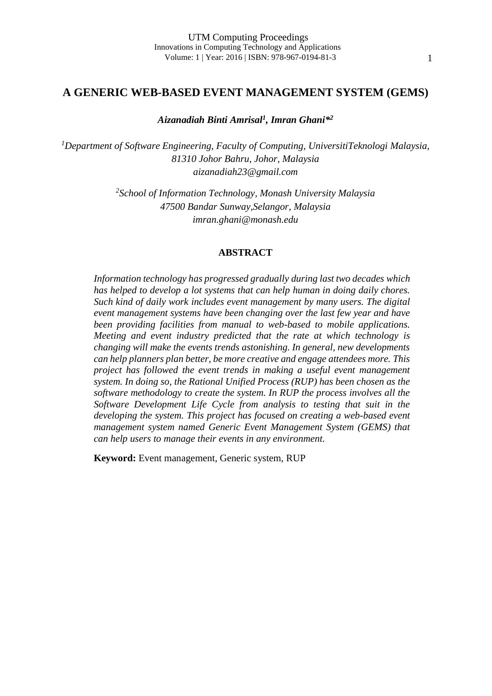# **A GENERIC WEB-BASED EVENT MANAGEMENT SYSTEM (GEMS)**

*Aizanadiah Binti Amrisal<sup>1</sup> , Imran Ghani\* 2*

*<sup>1</sup>Department of Software Engineering, Faculty of Computing, UniversitiTeknologi Malaysia, 81310 Johor Bahru, Johor, Malaysia aizanadiah23@gmail.com*

> *2 School of Information Technology, Monash University Malaysia 47500 Bandar Sunway,Selangor, Malaysia imran.ghani@monash.edu*

#### **ABSTRACT**

*Information technology has progressed gradually during last two decades which has helped to develop a lot systems that can help human in doing daily chores. Such kind of daily work includes event management by many users. The digital event management systems have been changing over the last few year and have been providing facilities from manual to web-based to mobile applications. Meeting and event industry predicted that the rate at which technology is changing will make the events trends astonishing. In general, new developments can help planners plan better, be more creative and engage attendees more. This project has followed the event trends in making a useful event management system. In doing so, the Rational Unified Process (RUP) has been chosen as the software methodology to create the system. In RUP the process involves all the Software Development Life Cycle from analysis to testing that suit in the developing the system. This project has focused on creating a web-based event management system named Generic Event Management System (GEMS) that can help users to manage their events in any environment.*

**Keyword:** Event management, Generic system, RUP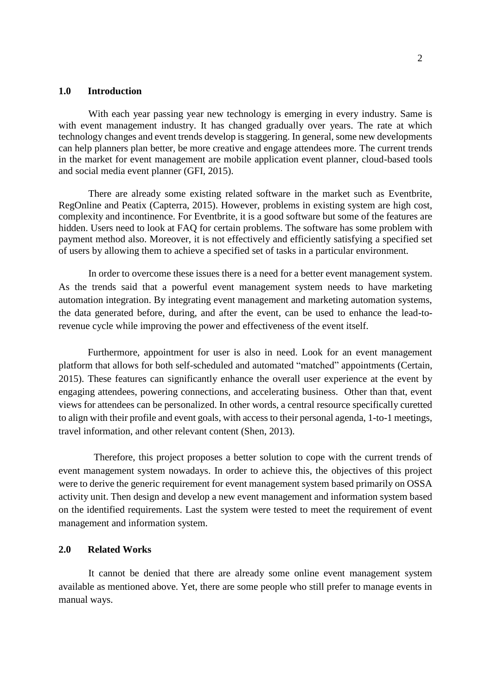## **1.0 Introduction**

With each year passing year new technology is emerging in every industry. Same is with event management industry. It has changed gradually over years. The rate at which technology changes and event trends develop is staggering. In general, some new developments can help planners plan better, be more creative and engage attendees more. The current trends in the market for event management are mobile application event planner, cloud-based tools and social media event planner (GFI, 2015).

There are already some existing related software in the market such as Eventbrite, RegOnline and Peatix (Capterra, 2015). However, problems in existing system are high cost, complexity and incontinence. For Eventbrite, it is a good software but some of the features are hidden. Users need to look at FAQ for certain problems. The software has some problem with payment method also. Moreover, it is not effectively and efficiently satisfying a specified set of users by allowing them to achieve a specified set of tasks in a particular environment.

In order to overcome these issues there is a need for a better event management system. As the trends said that a powerful event management system needs to have marketing automation integration. By integrating event management and marketing automation systems, the data generated before, during, and after the event, can be used to enhance the lead-torevenue cycle while improving the power and effectiveness of the event itself.

Furthermore, appointment for user is also in need. Look for an event management platform that allows for both self-scheduled and automated "matched" appointments (Certain, 2015). These features can significantly enhance the overall user experience at the event by engaging attendees, powering connections, and accelerating business. Other than that, event views for attendees can be personalized. In other words, a central resource specifically curetted to align with their profile and event goals, with access to their personal agenda, 1-to-1 meetings, travel information, and other relevant content (Shen, 2013).

Therefore, this project proposes a better solution to cope with the current trends of event management system nowadays. In order to achieve this, the objectives of this project were to derive the generic requirement for event management system based primarily on OSSA activity unit. Then design and develop a new event management and information system based on the identified requirements. Last the system were tested to meet the requirement of event management and information system.

#### **2.0 Related Works**

It cannot be denied that there are already some online event management system available as mentioned above. Yet, there are some people who still prefer to manage events in manual ways.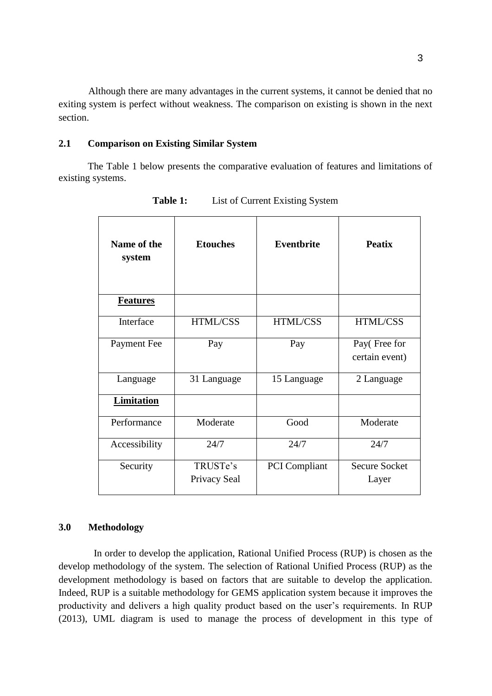Although there are many advantages in the current systems, it cannot be denied that no exiting system is perfect without weakness. The comparison on existing is shown in the next section.

## **2.1 Comparison on Existing Similar System**

The Table 1 below presents the comparative evaluation of features and limitations of existing systems.

| Name of the<br>system | <b>Etouches</b>          | <b>Eventbrite</b>    | <b>Peatix</b>                  |  |  |
|-----------------------|--------------------------|----------------------|--------------------------------|--|--|
| <b>Features</b>       |                          |                      |                                |  |  |
| Interface             | <b>HTML/CSS</b>          | <b>HTML/CSS</b>      | <b>HTML/CSS</b>                |  |  |
| Payment Fee           | Pay                      | Pay                  | Pay(Free for<br>certain event) |  |  |
| Language              | 31 Language              | 15 Language          | 2 Language                     |  |  |
| Limitation            |                          |                      |                                |  |  |
| Performance           | Moderate                 | Good                 | Moderate                       |  |  |
| Accessibility         | 24/7                     | 24/7                 | 24/7                           |  |  |
| Security              | TRUSTe's<br>Privacy Seal | <b>PCI</b> Compliant | <b>Secure Socket</b><br>Layer  |  |  |

Table 1: List of Current Existing System

#### **3.0 Methodology**

In order to develop the application, Rational Unified Process (RUP) is chosen as the develop methodology of the system. The selection of Rational Unified Process (RUP) as the development methodology is based on factors that are suitable to develop the application. Indeed, RUP is a suitable methodology for GEMS application system because it improves the productivity and delivers a high quality product based on the user's requirements. In RUP (2013), UML diagram is used to manage the process of development in this type of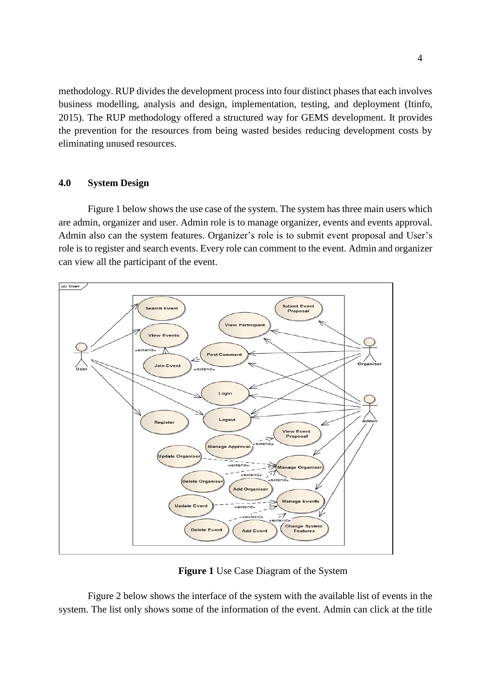methodology. RUP divides the development process into four distinct phases that each involves business modelling, analysis and design, implementation, testing, and deployment (Itinfo, 2015). The RUP methodology offered a structured way for GEMS development. It provides the prevention for the resources from being wasted besides reducing development costs by eliminating unused resources.

#### **4.0 System Design**

Figure 1 below shows the use case of the system. The system has three main users which are admin, organizer and user. Admin role is to manage organizer, events and events approval. Admin also can the system features. Organizer's role is to submit event proposal and User's role is to register and search events. Every role can comment to the event. Admin and organizer can view all the participant of the event.



**Figure 1** Use Case Diagram of the System

Figure 2 below shows the interface of the system with the available list of events in the system. The list only shows some of the information of the event. Admin can click at the title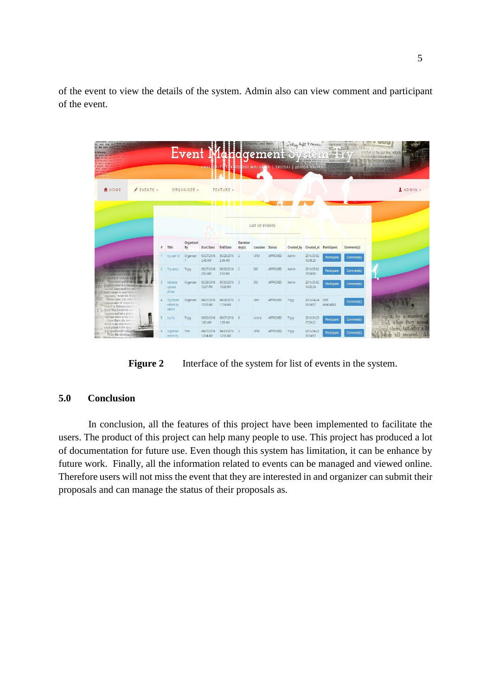of the event to view the details of the system. Admin also can view comment and participant of the event.

| camp as hed<br><b>Die La</b>                                                                                                                                                                     |                |                                       | Event                       |                        | Mandgement S             |                          | nackably Good Health | ama resident that | sthey left France<br>UNIVERSITY TEKNOLOGI MALAYOA   SKUDAI   JOHOR BAHRU | o Any friends here son is | at Ln millinly<br>Wat jour of the<br>26.95-10 公司创新 <sup>2</sup> | 397, 32.<br>tiger-point enves is<br>樂福<br>cutation integrition. | erected in the garden, which<br>enabled families to eat<br>ge ber without getting<br>or. He was asked about his<br>it was obvious this uni<br>dua a fascinating laist |
|--------------------------------------------------------------------------------------------------------------------------------------------------------------------------------------------------|----------------|---------------------------------------|-----------------------------|------------------------|--------------------------|--------------------------|----------------------|-------------------|--------------------------------------------------------------------------|---------------------------|-----------------------------------------------------------------|-----------------------------------------------------------------|-----------------------------------------------------------------------------------------------------------------------------------------------------------------------|
| EVENTS -<br><b>A</b> HOME                                                                                                                                                                        |                |                                       | ORGANISER -                 |                        | FEATURE -                |                          |                      |                   |                                                                          |                           |                                                                 |                                                                 | LADMIN-                                                                                                                                                               |
|                                                                                                                                                                                                  |                |                                       |                             |                        |                          |                          |                      |                   |                                                                          |                           |                                                                 |                                                                 |                                                                                                                                                                       |
|                                                                                                                                                                                                  |                |                                       |                             |                        |                          |                          |                      |                   |                                                                          |                           |                                                                 |                                                                 |                                                                                                                                                                       |
|                                                                                                                                                                                                  |                |                                       |                             |                        |                          |                          | LIST OF EVENTS       |                   |                                                                          |                           |                                                                 |                                                                 |                                                                                                                                                                       |
|                                                                                                                                                                                                  | $\#$           | Title                                 | Organised<br>By             | <b>Start Date</b>      | <b>End Date</b>          | Duration<br>day(s)       | Location             | Status            | Created by                                                               | Created at Participant    |                                                                 | Comment(s)                                                      |                                                                                                                                                                       |
|                                                                                                                                                                                                  |                | try user id                           | Organiser<br>$\overline{7}$ | 05/27/2016<br>2:48 AM  | 05/28/2016<br>2:49 AM    | $\overline{\phantom{a}}$ | <b>UTM</b>           | APPROVED          | Admin                                                                    | 2016-05-02<br>18:48:26    | Participant                                                     | Comment(s)                                                      |                                                                                                                                                                       |
| A Little of down to write this star of<br>sener before he and remed the<br>men were executed for the                                                                                             | $\overline{2}$ | Try select                            | Tryyy                       | 05/27/2016<br>2:02 AM  | 05/28/2016 2<br>2:03 AM  |                          | <b>DSI</b>           | APPROVED          | Admin                                                                    | 2016-05-02<br>18:04:06    | Participant                                                     | Comment(s)                                                      |                                                                                                                                                                       |
| <b>Imarance of a Union supple</b><br>ptee! Chear sister and friends a<br>are indirers what is to become with<br>, and tell them good-bye, and there<br><b>INTIADE's expect to meet them on F</b> |                | Validate<br>upload<br>photo           | Organiser                   | 05/28/2016<br>10:07 PM | 05/30/2016 3<br>10:08 PM |                          | <b>DSI</b>           | APPROVED          | Admin                                                                    | 2016-05-02<br>14:45:34    | Participant                                                     | Comment(s)                                                      |                                                                                                                                                                       |
| anymore," wrote the 19 years<br><b>Elle Hours later</b> , Col. John McN<br><b>Howhmander</b> of Union forces<br>tioned in Palmyra during<br><b>Civropol War</b> , forced the men                 |                | <b>Try Demo</b><br>edited by<br>admin | Organiser                   | 04/27/2016<br>10:53 AM | 04/28/2016<br>11:54 AM   | -2                       | Utm                  | APPROVED          | Tryw                                                                     | 2016-04-24<br>03:54:57    | <b>NOT</b><br>AVAILABLE                                         | Comment(s)                                                      |                                                                                                                                                                       |
| wagons and led a process<br>Stilly through town to the fair<br>Once there, the men<br>dered to sit atop wooden.                                                                                  | 5              | try list                              | Tryyy                       | 04/30/2016<br>1:02 AM  | 05/07/2016 8<br>1:03 AM  |                          | utm la               | APPROVED          | Tryyy                                                                    | 2016-04-23<br>17:04:21    | Participant                                                     | Comment(s)                                                      | nday night, by a number of<br>for trial, when they seized                                                                                                             |
| yeach placed 6 feet apart.<br>ing squad could execute<br>When the shooting wild rated<br>FREE CHRISTIANS or www.placed.in                                                                        | 6              | organiser<br>event try                | Trex                        | 04/27/2016<br>12:54 AM | 04/29/2016<br>12:55 AM   | $\overline{3}$           | <b>UTM</b>           | APPROVED          | Tryyy                                                                    | 2016-04-23<br>16:54:57    | Participant                                                     | Comment(s)                                                      | sontined them, but after a de<br>Were all secured. Als                                                                                                                |

Figure 2 Interface of the system for list of events in the system.

## **5.0 Conclusion**

In conclusion, all the features of this project have been implemented to facilitate the users. The product of this project can help many people to use. This project has produced a lot of documentation for future use. Even though this system has limitation, it can be enhance by future work. Finally, all the information related to events can be managed and viewed online. Therefore users will not miss the event that they are interested in and organizer can submit their proposals and can manage the status of their proposals as.